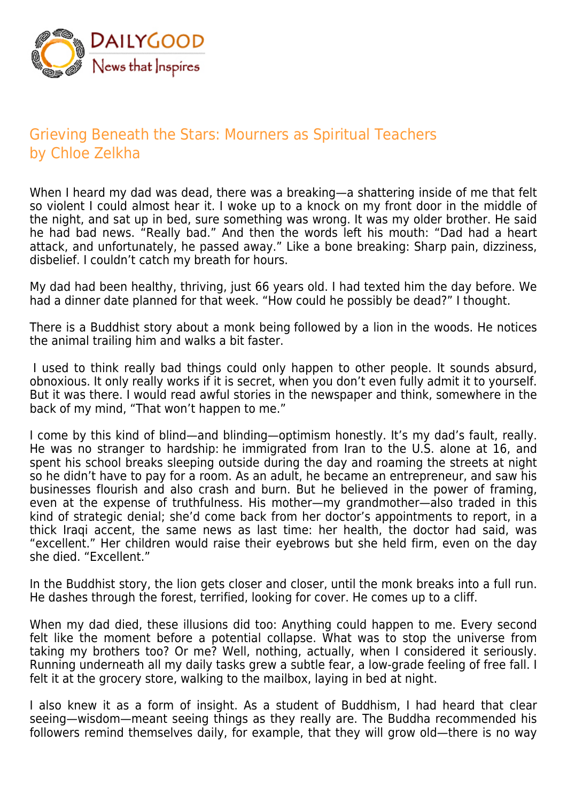

## Grieving Beneath the Stars: Mourners as Spiritual Teachers by Chloe Zelkha

When I heard my dad was dead, there was a breaking—a shattering inside of me that felt so violent I could almost hear it. I woke up to a knock on my front door in the middle of the night, and sat up in bed, sure something was wrong. It was my older brother. He said he had bad news. "Really bad." And then the words left his mouth: "Dad had a heart attack, and unfortunately, he passed away." Like a bone breaking: Sharp pain, dizziness, disbelief. I couldn't catch my breath for hours.

My dad had been healthy, thriving, just 66 years old. I had texted him the day before. We had a dinner date planned for that week. "How could he possibly be dead?" I thought.

There is a Buddhist story about a monk being followed by a lion in the woods. He notices the animal trailing him and walks a bit faster.

 I used to think really bad things could only happen to other people. It sounds absurd, obnoxious. It only really works if it is secret, when you don't even fully admit it to yourself. But it was there. I would read awful stories in the newspaper and think, somewhere in the back of my mind, "That won't happen to me."

I come by this kind of blind—and blinding—optimism honestly. It's my dad's fault, really. He was no stranger to hardship: he immigrated from Iran to the U.S. alone at 16, and spent his school breaks sleeping outside during the day and roaming the streets at night so he didn't have to pay for a room. As an adult, he became an entrepreneur, and saw his businesses flourish and also crash and burn. But he believed in the power of framing, even at the expense of truthfulness. His mother—my grandmother—also traded in this kind of strategic denial; she'd come back from her doctor's appointments to report, in a thick Iraqi accent, the same news as last time: her health, the doctor had said, was "excellent." Her children would raise their eyebrows but she held firm, even on the day she died. "Excellent."

In the Buddhist story, the lion gets closer and closer, until the monk breaks into a full run. He dashes through the forest, terrified, looking for cover. He comes up to a cliff.

When my dad died, these illusions did too: Anything could happen to me. Every second felt like the moment before a potential collapse. What was to stop the universe from taking my brothers too? Or me? Well, nothing, actually, when I considered it seriously. Running underneath all my daily tasks grew a subtle fear, a low-grade feeling of free fall. I felt it at the grocery store, walking to the mailbox, laying in bed at night.

I also knew it as a form of insight. As a student of Buddhism, I had heard that clear seeing—wisdom—meant seeing things as they really are. The Buddha recommended his followers remind themselves daily, for example, that they will grow old—there is no way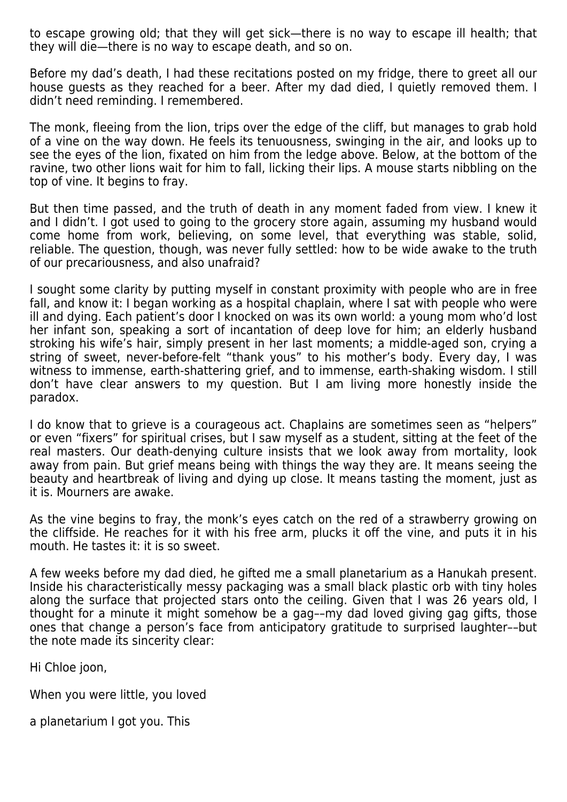to escape growing old; that they will get sick—there is no way to escape ill health; that they will die—there is no way to escape death, and so on.

Before my dad's death, I had these recitations posted on my fridge, there to greet all our house guests as they reached for a beer. After my dad died, I quietly removed them. I didn't need reminding. I remembered.

The monk, fleeing from the lion, trips over the edge of the cliff, but manages to grab hold of a vine on the way down. He feels its tenuousness, swinging in the air, and looks up to see the eyes of the lion, fixated on him from the ledge above. Below, at the bottom of the ravine, two other lions wait for him to fall, licking their lips. A mouse starts nibbling on the top of vine. It begins to fray.

But then time passed, and the truth of death in any moment faded from view. I knew it and I didn't. I got used to going to the grocery store again, assuming my husband would come home from work, believing, on some level, that everything was stable, solid, reliable. The question, though, was never fully settled: how to be wide awake to the truth of our precariousness, and also unafraid?

I sought some clarity by putting myself in constant proximity with people who are in free fall, and know it: I began working as a hospital chaplain, where I sat with people who were ill and dying. Each patient's door I knocked on was its own world: a young mom who'd lost her infant son, speaking a sort of incantation of deep love for him; an elderly husband stroking his wife's hair, simply present in her last moments; a middle-aged son, crying a string of sweet, never-before-felt "thank yous" to his mother's body. Every day, I was witness to immense, earth-shattering grief, and to immense, earth-shaking wisdom. I still don't have clear answers to my question. But I am living more honestly inside the paradox.

I do know that to grieve is a courageous act. Chaplains are sometimes seen as "helpers" or even "fixers" for spiritual crises, but I saw myself as a student, sitting at the feet of the real masters. Our death-denying culture insists that we look away from mortality, look away from pain. But grief means being with things the way they are. It means seeing the beauty and heartbreak of living and dying up close. It means tasting the moment, just as it is. Mourners are awake.

As the vine begins to fray, the monk's eyes catch on the red of a strawberry growing on the cliffside. He reaches for it with his free arm, plucks it off the vine, and puts it in his mouth. He tastes it: it is so sweet.

A few weeks before my dad died, he gifted me a small planetarium as a Hanukah present. Inside his characteristically messy packaging was a small black plastic orb with tiny holes along the surface that projected stars onto the ceiling. Given that I was 26 years old, I thought for a minute it might somehow be a gag––my dad loved giving gag gifts, those ones that change a person's face from anticipatory gratitude to surprised laughter––but the note made its sincerity clear:

Hi Chloe joon,

When you were little, you loved

a planetarium I got you. This